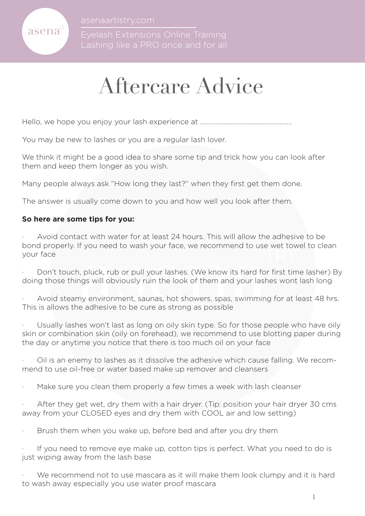

asenaartistry.com

# Aftercare Advice

Hello, we hope you enjoy your lash experience at ......................................................

You may be new to lashes or you are a regular lash lover.

We think it might be a good idea to share some tip and trick how you can look after them and keep them longer as you wish.

Many people always ask "How long they last?" when they first get them done.

The answer is usually come down to you and how well you look after them.

#### **So here are some tips for you:**

f you need to wash your face, we recommend to use wet to<br>i, pluck, rub or pull your lashes. (We know its hard for first tings will obviously ruin the look of them and your lashes won<br>iny environment, saunas, hot showers, s Avoid contact with water for at least 24 hours. This will allow the adhesive to be bond properly. If you need to wash your face, we recommend to use wet towel to clean your face

Don't touch, pluck, rub or pull your lashes. (We know its hard for first time lasher) By doing those things will obviously ruin the look of them and your lashes wont lash long

Avoid steamy environment, saunas, hot showers, spas, swimming for at least 48 hrs. This is allows the adhesive to be cure as strong as possible

Usually lashes won't last as long on oily skin type. So for those people who have oily skin or combination skin (oily on forehead), we recommend to use blotting paper during the day or anytime you notice that there is too much oil on your face

· Oil is an enemy to lashes as it dissolve the adhesive which cause falling. We recommend to use oil-free or water based make up remover and cleansers

Make sure you clean them properly a few times a week with lash cleanser

After they get wet, dry them with a hair dryer. (Tip: position your hair dryer 30 cms away from your CLOSED eyes and dry them with COOL air and low setting)

Brush them when you wake up, before bed and after you dry them

If you need to remove eye make up, cotton tips is perfect. What you need to do is just wiping away from the lash base

We recommend not to use mascara as it will make them look clumpy and it is hard to wash away especially you use water proof mascara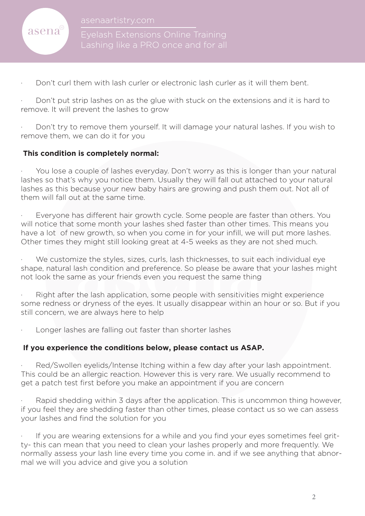

Lashing like a PRO once and for all

Don't curl them with lash curler or electronic lash curler as it will them bent.

Don't put strip lashes on as the glue with stuck on the extensions and it is hard to remove. It will prevent the lashes to grow

Don't try to remove them yourself. It will damage your natural lashes. If you wish to remove them, we can do it for you

### **This condition is completely normal:**

You lose a couple of lashes everyday. Don't worry as this is longer than your natural lashes so that's why you notice them. Usually they will fall out attached to your natural lashes as this because your new baby hairs are growing and push them out. Not all of them will fall out at the same time.

Everyone has different hair growth cycle. Some people are faster than others. You will notice that some month your lashes shed faster than other times. This means you have a lot of new growth, so when you come in for your infill, we will put more lashes. Other times they might still looking great at 4-5 weeks as they are not shed much.

by might still looking great at 4-5 weeks as they are not sheever and the styles, sizes, curls, lash thicknesses, to suit each indiviash condition and preference. So please be aware that your me as your friends even you re We customize the styles, sizes, curls, lash thicknesses, to suit each individual eye shape, natural lash condition and preference. So please be aware that your lashes might not look the same as your friends even you request the same thing

Right after the lash application, some people with sensitivities might experience some redness or dryness of the eyes. It usually disappear within an hour or so. But if you still concern, we are always here to help

Longer lashes are falling out faster than shorter lashes

#### **If you experience the conditions below, please contact us ASAP.**

Red/Swollen eyelids/Intense Itching within a few day after your lash appointment. This could be an allergic reaction. However this is very rare. We usually recommend to get a patch test first before you make an appointment if you are concern

Rapid shedding within 3 days after the application. This is uncommon thing however, if you feel they are shedding faster than other times, please contact us so we can assess your lashes and find the solution for you

If you are wearing extensions for a while and you find your eyes sometimes feel gritty- this can mean that you need to clean your lashes properly and more frequently. We normally assess your lash line every time you come in. and if we see anything that abnormal we will you advice and give you a solution